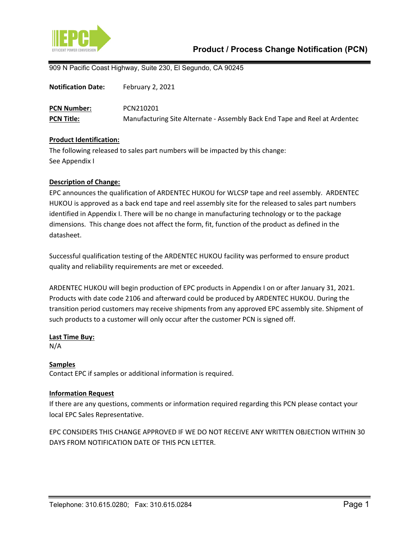

909 N Pacific Coast Highway, Suite 230, El Segundo, CA 90245

| <b>Notification Date:</b> | February 2, 2021                                                           |
|---------------------------|----------------------------------------------------------------------------|
| <b>PCN Number:</b>        | PCN210201                                                                  |
| <b>PCN Title:</b>         | Manufacturing Site Alternate - Assembly Back End Tape and Reel at Ardentec |

### **Product Identification:**

The following released to sales part numbers will be impacted by this change: See Appendix I

#### **Description of Change:**

EPC announces the qualification of ARDENTEC HUKOU for WLCSP tape and reel assembly. ARDENTEC HUKOU is approved as a back end tape and reel assembly site for the released to sales part numbers identified in Appendix I. There will be no change in manufacturing technology or to the package dimensions. This change does not affect the form, fit, function of the product as defined in the datasheet.

Successful qualification testing of the ARDENTEC HUKOU facility was performed to ensure product quality and reliability requirements are met or exceeded.

ARDENTEC HUKOU will begin production of EPC products in Appendix I on or after January 31, 2021. Products with date code 2106 and afterward could be produced by ARDENTEC HUKOU. During the transition period customers may receive shipments from any approved EPC assembly site. Shipment of such products to a customer will only occur after the customer PCN is signed off.

#### **Last Time Buy:**

N/A

### **Samples**

Contact EPC if samples or additional information is required.

### **Information Request**

If there are any questions, comments or information required regarding this PCN please contact your local EPC Sales Representative.

EPC CONSIDERS THIS CHANGE APPROVED IF WE DO NOT RECEIVE ANY WRITTEN OBJECTION WITHIN 30 DAYS FROM NOTIFICATION DATE OF THIS PCN LETTER.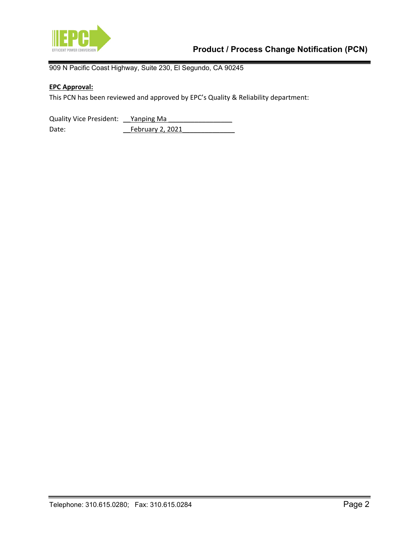

909 N Pacific Coast Highway, Suite 230, El Segundo, CA 90245

# **EPC Approval:**

This PCN has been reviewed and approved by EPC's Quality & Reliability department:

Quality Vice President: <u>Yanping Ma</u> Date: February 2, 2021